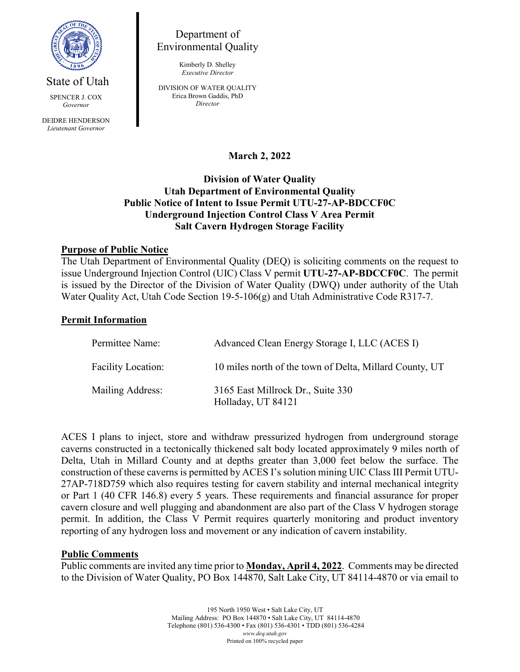

State of Utah

SPENCER J. COX *Governor* DEIDRE HENDERSON *Lieutenant Governor*

Department of Environmental Quality

> Kimberly D. Shelley *Executive Director*

DIVISION OF WATER QUALITY Erica Brown Gaddis, PhD *Director*

**March 2, 2022**

## **Division of Water Quality Utah Department of Environmental Quality Public Notice of Intent to Issue Permit UTU-27-AP-BDCCF0C Underground Injection Control Class V Area Permit Salt Cavern Hydrogen Storage Facility**

# **Purpose of Public Notice**

The Utah Department of Environmental Quality (DEQ) is soliciting comments on the request to issue Underground Injection Control (UIC) Class V permit **UTU-27-AP-BDCCF0C**. The permit is issued by the Director of the Division of Water Quality (DWQ) under authority of the Utah Water Quality Act, Utah Code Section 19-5-106(g) and Utah Administrative Code R317-7.

### **Permit Information**

| Permittee Name:           | Advanced Clean Energy Storage I, LLC (ACES I)           |
|---------------------------|---------------------------------------------------------|
| <b>Facility Location:</b> | 10 miles north of the town of Delta, Millard County, UT |
| Mailing Address:          | 3165 East Millrock Dr., Suite 330<br>Holladay, UT 84121 |

ACES I plans to inject, store and withdraw pressurized hydrogen from underground storage caverns constructed in a tectonically thickened salt body located approximately 9 miles north of Delta, Utah in Millard County and at depths greater than 3,000 feet below the surface. The construction of these caverns is permitted by ACES I's solution mining UIC Class III Permit UTU-27AP-718D759 which also requires testing for cavern stability and internal mechanical integrity or Part 1 (40 CFR 146.8) every 5 years. These requirements and financial assurance for proper cavern closure and well plugging and abandonment are also part of the Class V hydrogen storage permit. In addition, the Class V Permit requires quarterly monitoring and product inventory reporting of any hydrogen loss and movement or any indication of cavern instability.

#### **Public Comments**

Public comments are invited any time prior to **Monday, April 4, 2022**. Comments may be directed to the Division of Water Quality, PO Box 144870, Salt Lake City, UT 84114-4870 or via email to